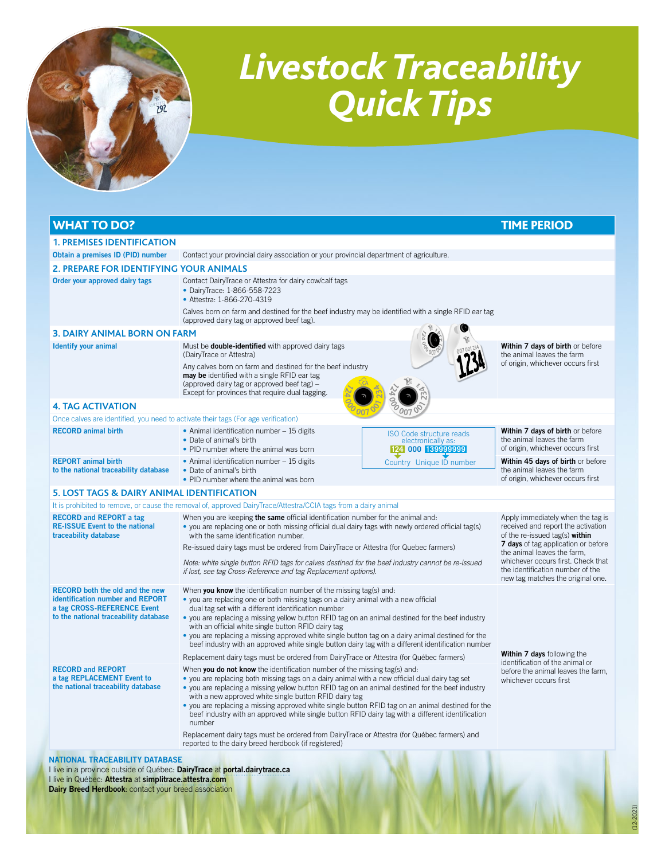

## *Livestock Traceability Quick Tips*

| <b>WHAT TO DO?</b>                                                                               |                                                                                                                                                                                                                                                                                                                                                                                                                                                                                                                                                               |                                                                            | <b>TIME PERIOD</b>                                                                                                                                                                                                                                                                             |                                                                                                                                                    |
|--------------------------------------------------------------------------------------------------|---------------------------------------------------------------------------------------------------------------------------------------------------------------------------------------------------------------------------------------------------------------------------------------------------------------------------------------------------------------------------------------------------------------------------------------------------------------------------------------------------------------------------------------------------------------|----------------------------------------------------------------------------|------------------------------------------------------------------------------------------------------------------------------------------------------------------------------------------------------------------------------------------------------------------------------------------------|----------------------------------------------------------------------------------------------------------------------------------------------------|
| <b>1. PREMISES IDENTIFICATION</b>                                                                |                                                                                                                                                                                                                                                                                                                                                                                                                                                                                                                                                               |                                                                            |                                                                                                                                                                                                                                                                                                |                                                                                                                                                    |
| Obtain a premises ID (PID) number                                                                | Contact your provincial dairy association or your provincial department of agriculture.                                                                                                                                                                                                                                                                                                                                                                                                                                                                       |                                                                            |                                                                                                                                                                                                                                                                                                |                                                                                                                                                    |
| <b>2. PREPARE FOR IDENTIFYING YOUR ANIMALS</b>                                                   |                                                                                                                                                                                                                                                                                                                                                                                                                                                                                                                                                               |                                                                            |                                                                                                                                                                                                                                                                                                |                                                                                                                                                    |
| Order your approved dairy tags                                                                   | Contact DairyTrace or Attestra for dairy cow/calf tags<br>• DairyTrace: 1-866-558-7223<br>• Attestra: 1-866-270-4319                                                                                                                                                                                                                                                                                                                                                                                                                                          |                                                                            |                                                                                                                                                                                                                                                                                                |                                                                                                                                                    |
|                                                                                                  | Calves born on farm and destined for the beef industry may be identified with a single RFID ear tag<br>(approved dairy tag or approved beef tag).                                                                                                                                                                                                                                                                                                                                                                                                             |                                                                            |                                                                                                                                                                                                                                                                                                |                                                                                                                                                    |
| <b>3. DAIRY ANIMAL BORN ON FARM</b>                                                              |                                                                                                                                                                                                                                                                                                                                                                                                                                                                                                                                                               |                                                                            |                                                                                                                                                                                                                                                                                                |                                                                                                                                                    |
| <b>Identify your animal</b>                                                                      | Must be <b>double-identified</b> with approved dairy tags<br>(DairyTrace or Attestra)                                                                                                                                                                                                                                                                                                                                                                                                                                                                         |                                                                            | Within 7 days of birth or before<br>the animal leaves the farm                                                                                                                                                                                                                                 |                                                                                                                                                    |
|                                                                                                  | Any calves born on farm and destined for the beef industry<br>may be identified with a single RFID ear tag<br>(approved dairy tag or approved beef tag) -<br>Except for provinces that require dual tagging.                                                                                                                                                                                                                                                                                                                                                  |                                                                            | of origin, whichever occurs first                                                                                                                                                                                                                                                              |                                                                                                                                                    |
| <b>4. TAG ACTIVATION</b>                                                                         |                                                                                                                                                                                                                                                                                                                                                                                                                                                                                                                                                               |                                                                            |                                                                                                                                                                                                                                                                                                |                                                                                                                                                    |
| Once calves are identified, you need to activate their tags (For age verification)               |                                                                                                                                                                                                                                                                                                                                                                                                                                                                                                                                                               |                                                                            |                                                                                                                                                                                                                                                                                                |                                                                                                                                                    |
| <b>RECORD</b> animal birth                                                                       | • Animal identification number - 15 digits<br>• Date of animal's birth<br>• PID number where the animal was born                                                                                                                                                                                                                                                                                                                                                                                                                                              | <b>ISO Code structure reads</b><br>electronically as:<br>124 000 139999999 | Within 7 days of birth or before<br>the animal leaves the farm<br>of origin, whichever occurs first                                                                                                                                                                                            |                                                                                                                                                    |
| <b>REPORT</b> animal birth<br>to the national traceability database                              | • Animal identification number - 15 digits<br>• Date of animal's birth<br>• PID number where the animal was born                                                                                                                                                                                                                                                                                                                                                                                                                                              | Country Unique ID number                                                   | Within 45 days of birth or before<br>the animal leaves the farm<br>of origin, whichever occurs first                                                                                                                                                                                           |                                                                                                                                                    |
| <b>5. LOST TAGS &amp; DAIRY ANIMAL IDENTIFICATION</b>                                            |                                                                                                                                                                                                                                                                                                                                                                                                                                                                                                                                                               |                                                                            |                                                                                                                                                                                                                                                                                                |                                                                                                                                                    |
|                                                                                                  | It is prohibited to remove, or cause the removal of, approved DairyTrace/Attestra/CCIA tags from a dairy animal                                                                                                                                                                                                                                                                                                                                                                                                                                               |                                                                            |                                                                                                                                                                                                                                                                                                |                                                                                                                                                    |
| <b>RECORD and REPORT a tag</b><br><b>RE-ISSUE Event to the national</b><br>traceability database | When you are keeping the same official identification number for the animal and:<br>• you are replacing one or both missing official dual dairy tags with newly ordered official tag(s)<br>with the same identification number.                                                                                                                                                                                                                                                                                                                               |                                                                            | Apply immediately when the tag is<br>received and report the activation<br>of the re-issued tag(s) within<br>7 days of tag application or before<br>the animal leaves the farm,<br>whichever occurs first. Check that<br>the identification number of the<br>new tag matches the original one. |                                                                                                                                                    |
|                                                                                                  | Re-issued dairy tags must be ordered from DairyTrace or Attestra (for Quebec farmers)<br>Note: white single button RFID tags for calves destined for the beef industry cannot be re-issued<br>if lost, see tag Cross-Reference and tag Replacement options).                                                                                                                                                                                                                                                                                                  |                                                                            |                                                                                                                                                                                                                                                                                                |                                                                                                                                                    |
|                                                                                                  |                                                                                                                                                                                                                                                                                                                                                                                                                                                                                                                                                               |                                                                            |                                                                                                                                                                                                                                                                                                | <b>RECORD</b> both the old and the new<br>identification number and REPORT<br>a tag CROSS-REFERENCE Event<br>to the national traceability database |
|                                                                                                  | Replacement dairy tags must be ordered from DairyTrace or Attestra (for Québec farmers)                                                                                                                                                                                                                                                                                                                                                                                                                                                                       |                                                                            | Within 7 days following the                                                                                                                                                                                                                                                                    |                                                                                                                                                    |
| <b>RECORD and REPORT</b><br>a tag REPLACEMENT Event to<br>the national traceability database     | When you do not know the identification number of the missing tag(s) and:<br>• you are replacing both missing tags on a dairy animal with a new official dual dairy tag set<br>• you are replacing a missing yellow button RFID tag on an animal destined for the beef industry<br>with a new approved white single button RFID dairy tag<br>• you are replacing a missing approved white single button RFID tag on an animal destined for the<br>beef industry with an approved white single button RFID dairy tag with a different identification<br>number |                                                                            | identification of the animal or<br>before the animal leaves the farm,<br>whichever occurs first                                                                                                                                                                                                |                                                                                                                                                    |
|                                                                                                  | Replacement dairy tags must be ordered from DairyTrace or Attestra (for Québec farmers) and<br>reported to the dairy breed herdbook (if registered)                                                                                                                                                                                                                                                                                                                                                                                                           |                                                                            |                                                                                                                                                                                                                                                                                                |                                                                                                                                                    |
| <b>NATIONAL TRACEABILITY DATABASE</b>                                                            |                                                                                                                                                                                                                                                                                                                                                                                                                                                                                                                                                               |                                                                            |                                                                                                                                                                                                                                                                                                |                                                                                                                                                    |

I li<mark>ve</mark> in a province outside of Québec: DairyTrace at [portal.dairytrace.ca](http://portal.dairytrace.ca) I live in Québec: Attestra at [simplitrace.attestra.com](http://simplitrace.attestra.com) Dairy Breed Herdbook: contact your breed association